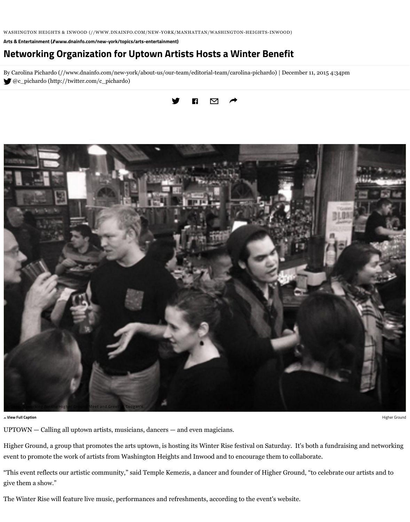

**View Full Caption Higher Ground According to the Caption According to the Caption According to the Caption According to the Caption According to the Caption According to the Caption According to the Caption According to t** 

UPTOWN - Calling all uptown artists, musicians, dancers - and even magi

Higher Ground, a group that promotes the arts uptown, is hosting its Winter event to promote the work of artists from Washington Heights and Inwood and

"This event reflects our artistic community," said Temple Kemezis, a dancer give them a show."

The Winter Rise will feature live music, performances and refreshments, according to the events of the events.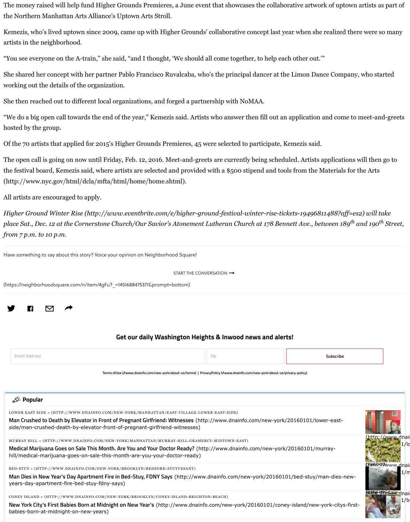Have something to say about this story? Voice your opinion on Neighborhood Square!

START THE CONVERSATION

(https://neighborhoodsquare.com/n/item/4gFu?\_=1451688475371&prompt=bottom)



#### **Get our daily Washington Heights &**

| <b>Email Address</b> |  |  |  |
|----------------------|--|--|--|
|----------------------|--|--|--|

Terms ofUse (//www.dnainfo.com/new-york/about-us/terms) | PrivacyPoli

### Popular <sup>></sup>کہ

LOWER EAST SIDE » (HTTP://WWW.DNAINFO.COM/NEW-YORK/MANHATTAN/EAST-VILLAGE-LOWER-E

**[Man Crushed to Death by Elevator in Front of Pregnant Girlfriend: Witnesses](http://www.nyc.gov/html/dcla/mfta/html/home/home.shtml)** (http://w side/man-crushed-death-by-elevator-front-of-pregnant-girlfriend-witnesses)

MURRAY HILL » (HTTP://WWW.DNAINFO.COM/NEW-YORK/MANHATTAN/MURRAY-HILL-GRAMERCY-M

**Medical Marijuana Goes on Sale This Month. Are You and Your Doctor Ready?** (http://v [hill/medical-marijuana-goes-on-sale-this-month-are-you-your-doctor-ready\)](http://www.eventbrite.com/e/higher-ground-festival-winter-rise-tickets-19496811488?aff=es2)

BED-STUY » (HTTP://WWW.DNAINFO.COM/NEW-YORK/BROOKLYN/BEDFORD-STUYVESANT)

**Man Dies in New Year's Day Apartment Fire in Bed-Stuy, FDNY Says** (http://www.dnai years-day-apartment-fire-bed-stuy-fdny-says)

CONEY ISLAND » (HTTP://WWW.DNAINFO.COM/NEW-YORK/BROOKLYN/CONEY-ISLAND-BRIGHTON-BE

New York City's First Babies Born at Midnight on New Year's (http://www.dnainfo.con babies-born-at-midnight-on-new-years)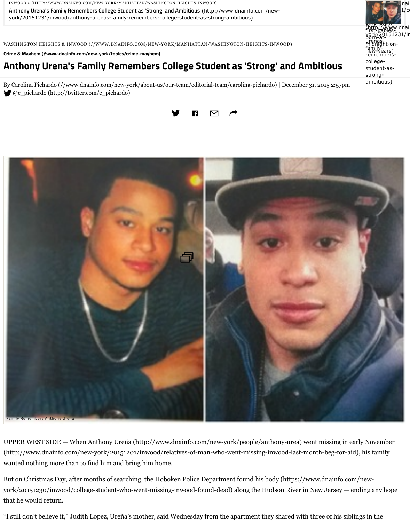

UPPER WEST SIDE — When Anthony Ureña (http://www.dnainfo.com/new (http://www.dnainfo.com/new-york/20151201/inwood/relatives-of-man-w wanted nothing more than to find him and bring him home.

But on Christmas Day, after months of searching, the Hoboken Police Department found his body (https://www.dnainfo.com/newyork/20151230/inwood/college-student-who-went-missing-inwood-foundthat he would return.

"I still don't believe it," Judith Lopez, Ureña's mother, said Wednesday from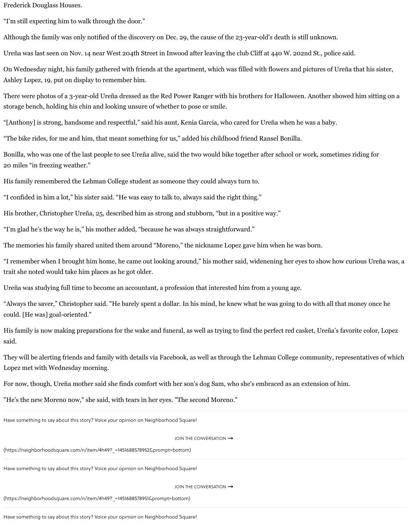The memories his family shared united them around "Moreno," the nicknan

"I remember when I brought him home, he came out looking around," his m trait she noted would take him places as he got older.

Ureña was studying full time to become an accountant, a profession that inter-

"Always the saver," Christopher said. "He barely spent a dollar. In his mind, could. [He was] goal-oriented."

His family is now making preparations for the wake and funeral, as well as to said.

They will be alerting friends and family with details via Facebook, as well as Lopez met with Wednesday morning.

For now, though, Ureña mother said she finds comfort with her son's dog Sa

"He's the new Moreno now," she said, with tears in her eyes. "The second  $M_0$ 

Have something to say about this story? Voice your opinion on Neighborhood Square!

JOIN THE CONVERSAT

(https://neighborhoodsquare.com/n/item/4h49?\_=1451688578952&prompt=bottom)

Have something to say about this story? Voice your opinion on Neighborhood Square!

JOIN THE CONVERSAT

(https://neighborhoodsquare.com/n/item/4h49?\_=1451688578951&prompt=bottom)

Have something to say about this story? Voice your opinion on Neighborhood Square!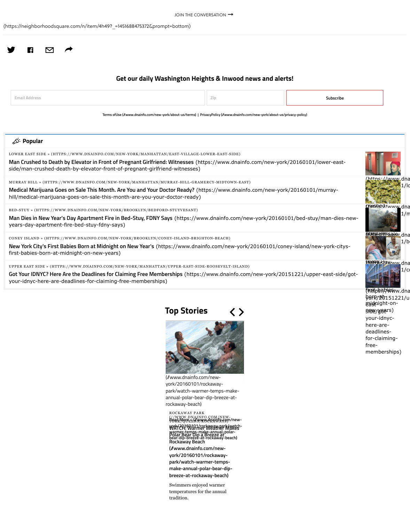**New York City's First Babies Born at Midnight on New Year's (https://www.dnainfo.com/new**first-babies-born-at-midnight-on-new-years)

UPPER EAST SIDE » (HTTPS://WWW.DNAINFO.COM/NEW-YORK/MANHATTAN/UPPER-EAST-SIDE-ROOS

**Got Your IDNYC? Here Are the Deadlines for Claiming Free Memberships** (https://www [your](http://www.dnainfo.com/new-york/20151211/inwood/networking-organization-for-uptown-artists-hosts-winter-benefit#)-[idnyc-here-are-deadlin](http://www.dnainfo.com/new-york/20151211/inwood/networking-organization-for-uptown-artists-hosts-winter-benefit#)es-for-claiming-free-memberships)

## **Top Stories**



(//www.dnainfo.com/newyork/20160101/rockawa park/watch-warmer-tem annual-polar-bear-dip-b rockaway-beach)

ROCKAWAY PARK W.DNAINFO.COM [YORK/QUEENS/ROCKAWAYS\)](https://www.dnainfo.com/new-york/manhattan/murray-hill-gramercy-midtown-east) **[WATCH: Warmer Weather Makes](https://www.dnainfo.com/new-york/20160101/murray-hill/medical-marijuana-goes-on-sale-this-month-are-you-your-doctor-ready) Polar Bear Dip a Breeze at Rockaway Beach Read More > (//www.dnain york/20160101/rockaway-park/watchwarmer-temps-make-annual-polarbear-dip-breeze-at-rockaway-beach)**

**[\(//www.dnainfo.com/new](https://www.dnainfo.com/new-york/brooklyn/bedford-stuyvesant)york/20160101/rockaway[park/watch-warmer-temps](https://www.dnainfo.com/new-york/20160101/bed-stuy/man-dies-new-years-day-apartment-fire-bed-stuy-fdny-says)**make-annual-polar-be breeze-at-rockaway-b

Swimmers enjoyed war temperatures for the an tradition.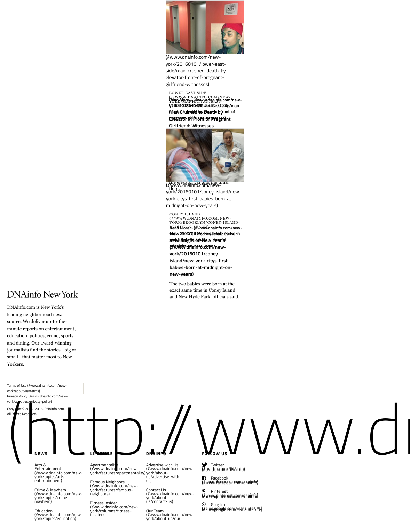*at Middight of New Year* **(Widnight-on-ainfro-years)** n **york/20160101/coney**island/new-york-citys**babies-born-at-midnig new-years)**

The two babies were bo exact same time in Cone and New Hyde Park, of

# DNAinfo New York

DNAinfo.com is New York's leading neighborhood news source. We deliver up-to-theminute reports on entertainment, education, politics, crime, sports, and dining. Our award-winning journalists find the stories - big or small - that matter most to New Yorkers. source. We deliver up-to-the-<br>minute reports on entertainment,<br>education, politics, crime, sports,<br>and dining. Our award-winning<br>journalists find the stories - big or<br>small - that matter most to New<br>Yorkers.

Terms of Use (//www.dnainfo.com/newyork/about-us/terms) Privacy Policy (//www.dnainfo.com/newyork/about-us/privacy-policy)

Copyright  $\circ$  20 9-2016, DNAinfo.com. All Rights Reserved.

#### **NEWS**

Arts & Entertainment (//www.dnainfo.com/newyork/topics/artsentertainment)

Crime & Mayhem (//www.dnainfo.com/newyork/topics/crimemayhem)

Education (//www.dnainfo.com/new[york/topics/education\)](http://www.dnainfo.com/new-york)

**Apartmentalit** (//www.dnainfo.com/newyork/features/apartmentality) york/about-

Famous Neighbors (//www.dnainfo.com/newyork/features/famousneighbors)

**LIFESTYLE**

Fitness Insider (//www.dnainfo.com/newyork/columns/fitnessinsider)

Advertise with Us (//www.dnainfo.com/newus/advertise-withus)

**DNAINFO**

Contact Us (//www.dnainfo.com/newyork/aboutus/contact-us)

Our Team (//www.dnainfo.com/newyork/about-us/our-

**FOLLOW** Solve the 20 9-2016, DNAinfo.com.<br>
All R Rsse ed.<br>
NEWS Apartmentality Convey description of the Convey of the Convey of the Convey of the Convey of the Convey of the Convey of the Convey of the Convey of the Convey of the

 $\sum_{\mu}$  Twitter (//twitter

 $\mathbf{F}$  Face (//www.f

 ${\cal P}$ (//www.e Pint

 $g_{\pm}$ (//plus.go Google+